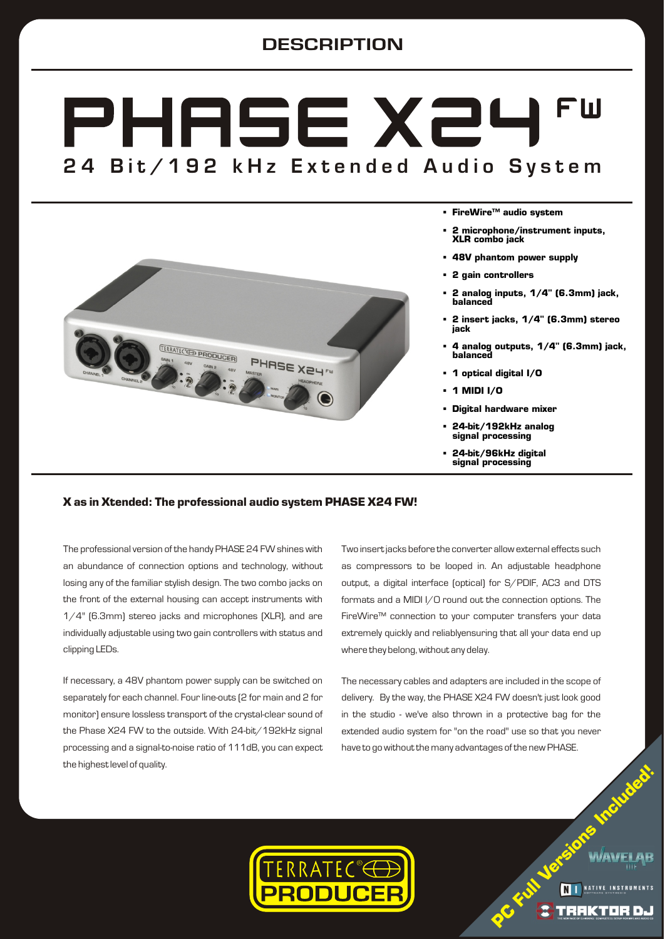# **DESCRIPTION**

# PHASE X24 FШ 24 Bit/192 kHz Extended Audio System



- § **FireWire™ audio system**
- § **2 microphone/instrument inputs, XLR combo jack**
- § **48V phantom power supply**
- § **2 gain controllers**
- § **2 analog inputs, 1/4" (6.3mm) jack, balanced**
- § **2 insert jacks, 1/4" (6.3mm) stereo jack**
- § **4 analog outputs, 1/4" (6.3mm) jack, balanced**
- § **1 optical digital I/O**
- § **1 MIDI I/O**
- § **Digital hardware mixer**
- § **24-bit/192kHz analog signal processing**
- § **24-bit/96kHz digital signal processing**

## **X as in Xtended: The professional audio system PHASE X24 FW!**

The professional version of the handy PHASE 24 FW shines with an abundance of connection options and technology, without losing any of the familiar stylish design. The two combo jacks on the front of the external housing can accept instruments with 1/4" (6.3mm) stereo jacks and microphones (XLR), and are individually adjustable using two gain controllers with status and clipping LEDs.

If necessary, a 48V phantom power supply can be switched on separately for each channel. Four line-outs (2 for main and 2 for monitor) ensure lossless transport of the crystal-clear sound of the Phase X24 FW to the outside. With 24-bit/192kHz signal processing and a signal-to-noise ratio of 111dB, you can expect the highest level of quality.

Two insert jacks before the converter allow external effects such as compressors to be looped in. An adjustable headphone output, a digital interface (optical) for S/PDIF, AC3 and DTS formats and a MIDI I/O round out the connection options. The FireWire™ connection to your computer transfers your data extremely quickly and reliablyensuring that all your data end up where they belong, without any delay.

The necessary cables and adapters are included in the scope of delivery. By the way, the PHASE X24 FW doesn't just look good in the studio - we've also thrown in a protective bag for the extended audio system for "on the road" use so that you never have to go without the many advantages of the new PHASE.

**C**

**F**  $\lambda$ 

**P**



**ersi**

**s Inclu**

**d**  $\delta$  .

**e**

**ul**  $\frac{1}{2}$ 

**on**